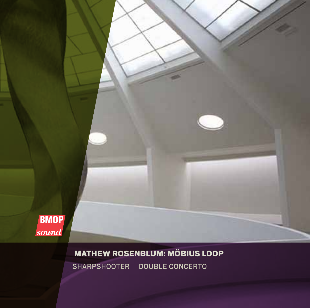

Mathew Rosenblum: Möbius Loop SHARPSHOOTER | DOUBLE CONCERTO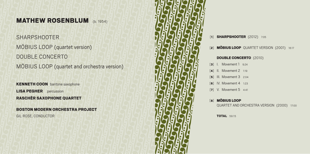# **MATHEW ROSENBLUM** (b. 1954)

SHARPSHOOTER MÖBIUS LOOP (quartet version) DOUBLE CONCERTO MÖBIUS LOOP (quartet and orchestra version)

**KENNETH COON** baritone saxophone **LISA PEGHER** percussion Raschèr Saxophone Quartet

Boston Modern Orchestra Project Gil Rose, conductor



[1] **SHARPSHOOTER** (2012) 7:05

[2] **MÖBIUS LOOP** QUARTET VERSION (2001) 16:17

## Double Concerto (2010)

- [3] I. Movement 1 9:24
- [4] II. Movement 2 1:19
- [**5**] III. Movement 3 2:04
- [6] IV. Movement 4 1:23
- [7] V. Movement 5 4:41

## [8] Möbius Loop

quartet and orchestra version (2000) 17:00

**TOTAL 59:15**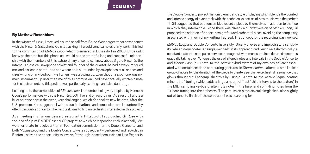## By Mathew Rosenblum

In the winter of 1998, I received a surprise call from Bruce Weinberger, tenor saxophonist with the Raschèr Saxophone Quartet, asking if I would send samples of my work. This led to the commission of *Möbius Loop*, which premiered in Düsseldorf in 2000. Little did I know at the time but this phone call would be the start of a long and successful relationship with the members of this extraordinary ensemble. I knew about Sigurd Raschèr, the infamous classical saxophone soloist and founder of the quartet; he had always intrigued me, and his iconic photo—the one where he is surrounded by saxophones of all shapes and sizes—hung on my bedroom wall when I was growing up. Even though saxophone was my main instrument, up until the time of this commission I had never actually written a note for the instrument, so this project was particularly exciting—and also daunting.

Leading up to the composition of *Möbius Loop*, I remember being very inspired by Kenneth Coon's performances with the Raschèrs, both live and on recordings. As a result, I wrote a killer baritone part in the piece, very challenging, which Ken took to new heights. After the U.S. premiere, Ken suggested I write a duo for baritone and percussion, and I countered by offering a double concerto. The next task was to find an orchestra interested in this project.

At a meeting in a famous dessert restaurant in Pittsburgh, I approached Gil Rose with the idea of a joint BMOP/Raschèr CD project, to which he responded enthusiastically. We were fortunate to receive a Fromm Foundation commission for the Double Concerto, and both *Möbius Loop* and the Double Concerto were subsequently performed and recorded in Boston. I seized the opportunity to involve Pittsburgh-based percussionist Lisa Pegher in the Double Concerto project; her crisp energetic style of playing which blends the pointed and intense energy of avant rock with the technical expertise of new music was the perfect fit. Gil suggested that both ensembles record a piece by themselves in addition to the two in which they intermingle. Since there was already a quartet version of *Möbius Loop*, Gil proposed the addition of a short, straightforward orchestral piece, avoiding the complexity associated with much of my writing. I agreed. The concept for the recording was now set.

*Möbius Loop* and Double Concerto have a stylistically diverse and improvisatory sensibility, while *Sharpshoote*r is "single-minded" in its approach and very direct rhythmically: a constant sixteenth note pulse pervades throughout with more sustained detuned sonorities gradually taking over. Whereas the use of altered notes and intervals in the Double Concerto and *Möbius Loop* (a 21 note-to-the-octave hybrid system of my own design) are associated with certain sections or recurring gestures, in *Sharpshooter*, I altered a small select group of notes for the duration of the piece to create a pervasive orchestral resonance that glows throughout. I accomplished this by using a 19 note-to-the-octave "equal beating minor third" tuning (which adds a large amount of "just" third intervals to the texture) in the MIDI sampling keyboard, altering 2 notes in the harp, and sprinkling notes from the 19-note tuning into the orchestra. The percussion plays several almglocken, also slightly out of tune, to finish off the sonic aura I was searching for.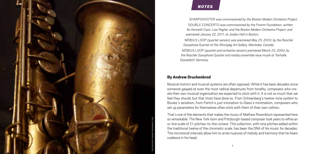

#### *note* **NOTES**

SHARPSHOOTER was commissioned by the Boston Modern Orchestra Project. Doub le Con certo *was commissioned by the Fromm Foundation, written for Kenneth Coon, Lisa Pegher, and the Boston Modern Orchestra Project, and premiered January 22, 2011, at Jordan Hall in Boston.*

Möbiu s Loop *(quartet version) was premiered May 25, 2003, by the Raschèr Saxophone Quartet at the Winnipeg Art Gallery, Manitoba, Canada.*

Möbiu s Loop *(quartet and orchestra version) premiered March 23, 2000, by the Raschèr Saxophone Quartet and notabu.ensemble neue musik at Tonhalle, Düsseldorf, Germany.*

## By Andrew Druckenbrod

Musical instinct and musical systems are often opposed. While it has been decades since someone gasped at even the most radical departures from tonality, composers who cre ate their own musical organization are expected to stick with it. It is not so much that we feel they should, but that most have done so. From Schoenberg's twelve-tone system to Boulez's serialism, from Partch's just intonation to Glass's minimalism, composers who set up parameters for themselves often stick with them of their own volition.

That's one of the elements that makes the music of Mathew Rosenblum represented here so remarkable. The New York-born and Pittsburgh-based composer took years to refine an ur-line scale of 21-pitches-to-the-octave. This collection, with nine pitches added within the traditional twelve of the chromatic scale, has been the DNA of his music for decades. The microtonal intervals allow him to write nuances of melody and harmony that he hears coalesce in his head.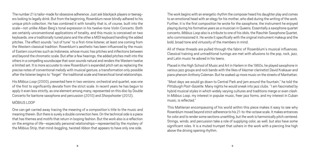The number 21 is tailor-made for obsessive adherence. Just ask blackjack players or teenagers looking to legally drink. But from the beginning, Rosenblum never blindly adhered to his unique pitch collection. He has combined it with tonality that is, of course, built into the scale—not unlike Alban Berg's tonal expression in his twelve-tone Violin Concerto. Both are certainly unconventional applications of tonality, and this music is conceived on two keyboards, one a traditionally tuned piano and the other a MIDI keyboard handling the added pitches. The effect sounds "out of tune" to a first-time listener, at least one coming from the Western classical tradition. Rosenblum's aesthetic has been influenced by the music of Eastern countries such as Indonesia, whose music has pitches and inflections between and beyond the chromatic scale. But after a few hearings, the added pitches melt into the others in a compelling soundscape that soon sounds natural and renders the Western twelve a limited set. It is more accurate to view Rosenblum's expanded pitch set as replacing the precise notes of conventional melody with musical gesture, a transformation only possible after the listener begins to "forget" the traditional scale and hierarchical tonal relationships.

His *Möbius Loop* (2000), presented here in two versions: orchestral and quartet, was one of the first to significantly deviate from the strict scale. In recent years he has begun to apply it even less strictly, as one element among many, represented on this disc by Double Concerto for baritone saxophone and percussion (2010) and *Sharpshooter* (2012).

## MÖBIUS LOOP

One can get carried away tracing the meaning of a composition's title to the music and meaning therein. But there is surely a double connection here. On the technical side is a piece that has themes and motifs that return in looping fashion. But the work also is a reflection on the enigma of life—especially personal relationships—represented by the mystery of the Möbius Strip, that mind-boggling, twisted ribbon that appears to have only one side.

The work begins with an energetic rhythm the composer heard his daughter play and comes to an emotional head with an elegy for his mother, who died during the writing of the work. Further, it is the first composition he wrote for the saxophone, the instrument he enjoyed playing during his formative years as a musician in Queens. Essentially a saxophone quartet concerto, *Möbius Loop* also is a tribute to one of his idols, the Raschèr Saxophone Quartet, who commissioned it. He wrote it specifically with the original instrument makeup and the bold, broad tone and virtuosity of the members in mind.

All of these threads are pulled through the fabric of Rosenblum's musical influences. Classical training and untraditional tunings are met with allusions to the pop, rock, jazz, and Latin music he adored in his teens.

Placed in the High School of Music and Art in Harlem in the 1960s, he played saxophone in various jazz groups and rock bands with the likes of klezmer clarinetist David Krakauer and piano phenom Anthony Coleman. But he soaked up more music on the streets of Manhattan.

"Most days we would go down to Central Park and jam around the fountain," he told the *Pittsburgh Post-Gazette*. Many nights he would sneak into jazz clubs. "I am fascinated by hybrid musical styles in which widely varying cultures and traditions merge or even clash. In *Möbius Loop*, my interest in popular music, freer jazz forms, and my interest in Cuban music, is reflected."

This Mahlerian encompassing of his world within this piece makes it easy to see why Rosenblum moved beyond strict adherence to his 21-to-the-octave scale. It makes entrances for color and to render some sections unsettling, but the work is harmonically pitch centered. Strings, winds, and percussion take a role of supplying color, as well, but also have some significant roles. It is a muted trumpet that ushers in the work with a piercing line high above the driving opening rhythm.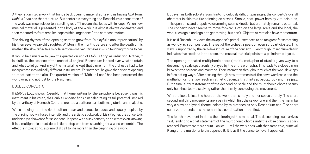A theorist can tag a work that brings back opening material at its end as having ABA form. *Möbius Loop* has that structure. But context is everything and Rosenblum's conception of the work was much closer to a scrolling reel. "There are also loops within loops. When new musical material is presented in the body of the work it is almost always contrasted and then repeated to form smaller loops within larger ones," the composer writes.

The driving rhythm of the opening section grew from "a playful piano improvisation" by his then seven-year-old daughter. Written in the months before and after the death of his mother, the slow reflective middle section—marked "timeless"—is a touching tribute to her.

It would be a mistake to view the quartet version of *Möbius Loop* as reduction. Rather, it is distilled, the essence of the orchestral original. Rosenblum labored over what to retain and what to let go. And any of the material he kept that came from the orchestra had to be incorporated into radically different instruments. For instance, he gave that distinct opening trumpet part to the alto. The quartet version of "Möbius Loop" has been performed the world over, and not just by the Raschèrs.

## DOUBLE CONCERTO

If *Möbius Loop* shows Rosenblum at home writing for the saxophone because it was his instrument in his youth, the Double Concerto finds him celebrating its full potential. Inspired by the artistry of Kenneth Coon, he created a baritone part both magisterial and majestic.

While drawing from the rich tradition of sax and percussion duos, and equally inspired by the bracing, rock-infused intensity and the artistic stickwork of Lisa Pegher, the concerto is undeniably a showcase for saxophone. It opens with a sax sonority so epic that even knowing it is a multiphonic chord does little to stop one from searching for a wind ensemble. The effect is intoxicating, a primordial call to life more than the beginning of a work.

But even as both soloists launch into ridiculously difficult passages, the concerto's overall character is akin to a tire spinning on a track. Smoke, heat, power born by virtuosic runs, trills upon trills, and propulsive drumming seems kinetic, but ultimately remains potential. The concerto never seems to move forward. Both on the large scale and the local, the work tries again and again to get moving, but can't. Objects at rest also have momentum.

It is as if Rosenblum views the saxophone's primal utterances to be too great for something as worldly as a composition. The rest of the orchestra peers on even as it participates. This view is supported by the arch-like structure of the concerto. Even though Rosenblum clearly indicates five sections in the score, the musical material points to a palindromic layout.

The opening repeated multiphonic chord (itself a metaphor of stasis) gives way to a descending scale spectacularly played by the entire orchestra. This leads to a close canon between the baritone and marimba. Their interaction throughout much of the work develops in fascinating ways. After passing through new statements of the downward scale and the multiphonics, the two reach an athletic cadenza that hints at bebop, rock and free jazz. But a final, tutti restatement of the descending scale and the multiphonic chords seems only half-hearted—dissolving rather than firmly concluding the movement.

What follows is less the heart of the work than simply another space entirely. The short second and third movements are a pair in which first the saxophone and then the marimba vary a slow and lyrical theme, colored by microtones as only Rosenblum can. The short cadenza that ends this movement is a continuation of the first.

The fourth movement initiates the mirroring of the material. The descending scale arrives first, leading to a brief statement of the multiphonic chords until the close canon is again reached. From there it is a sprint—on ice—until the work ends with that same epic, primeval Klang of the multiphonic that opened it. It is as if the concerto never happened.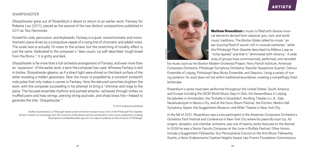## *artists*

## **SHARPSHOOTER**

*Sharpshooter* grew out of Rosenblum's desire to return to an earlier work, Fantasy for Roberta Liss (2011), placed as the second of the two distinct compositions published in 2011 as *Two Harmonies*.

Scored for viola, percussion, and keyboards, Fantasy is a quiet, monochromatic and monothematic piece driven by a compulsive repeat of a rising line of chromatic and added notes. The scale here is actually 19 notes to the octave, but the stretching of tonality effect is just the same. Dedicated to the composer's "dear cousin, [a] self-described 'tough broad from the Bronx." it is gritty and dark.

*Sharpshooter* is far more than a full orchestra arrangement of Fantasy, and even more than an "expansion" of the earlier work, a term the composer has used. Whereas Fantasy is dull in timbre, *Sharpshooter* gleams, as if a direct light were shined on the black surface of the latter revealing a hidden glossiness. Now the music is propelled by a constant sixteenth note pulse that only makes a cameo in Fantasy. Here the detuned sonorities brighten the work, with the composer succeeding in his attempt to bring a "shimmer and tinge to the piece. The focused ensemble rhythms and pointed attacks—achieved through strikes on muffled piano and harp strings, piercing string pizzicato, and sharp brass hits—helped to generate the title, 'Sharpshooter.'"

#### © 2013 Andrew Druckenbrod

*Andrew Druckenbrod is a Pittsburgh-based writer and former classical music critic of the* Pittsburgh Post-Gazette*. He has a master's of musicology from the University of Minnesota and has contributed to many music publications including*  Gramophone *and NewMusicBox.org and is an adjunct professor at the University of Pittsburgh.*



Mathew Rosenblum's music is filled with diverse musical elements derived from classical, jazz, rock, and world music traditions. The *Boston Globe* called his music "an ear-buzzing flood of sound, rich in unusual overtones," while the *Pittsburgh Post-Gazette* described his *Möbius Loop* as "richly layered" and that it "shimmered with vibrancy." A wide array of groups have commissioned, performed, and recorded

his music such as the Boston Modern Orchestra Project, Harry Partch Institute, American Composers Orchestra, Pittsburgh Symphony Orchestra, Raschèr Saxophone Quartet, Calmus Ensemble of Leipzig, Pittsburgh New Music Ensemble, and Sequitur. Using a variety of tuning systems, his work does not live within traditional boundaries, creating a compellingly fresh landscape.

Rosenblum's works have been performed throughout the United States, South America, and Europe including the ISCM World Music Days in Oslo, the Gewandhaus in Leipzig, De Ijsbreker in Amsterdam, the Tonhalle in Düsseldorf, the Bing Theater in L.A., Sala Nezahualcóyotl in Mexico City, and at the Sonic Boom Festival, the Kitchen, Merkin Hall, Symphony Space, the Guggenheim Museum, and Miller Theatre in New York City.

In the fall of 2001, Rosenblum was a core participant in the American Composers Orchestra's Orchestra Tech Festival and Conference in New York City where his piece *Nü kuan tzu*, for singers, samplers, and chamber orchestra, was one of twenty works featured on the festival. In 2009 he was a Senior Faculty Composer at the June in Buffalo Festival. Other honors include a Guggenheim Fellowship, four Pennsylvania Council on the Arts Music Fellowship Grants, a Heinz Endowments Creative Heights Award, two Fromm Foundation Commissions,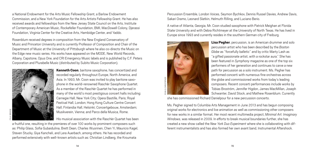a National Endowment for the Arts Music Fellowship Grant, a Barlow Endowment Commission, and a New York Foundation for the Arts Artists Fellowship Grant. He has also received awards and fellowships from the New Jersey State Council on the Arts, Institute of Contemporary American Music, Rockefeller Foundation, BMI, MacDowell Colony, Djerassi Foundation, Virginia Center for the Creative Arts, Hambidge Center, and Yaddo.

Rosenblum received degrees in composition from the New England Conservatory of Music and Princeton University and is currently Professor of Composition and Chair of the Department of Music at the University of Pittsburgh where he also co-directs the Music on the Edge new music series. His works have appeared on the MODE, New World Records, Albany, Capstone, Opus One, and CRI Emergency Music labels and is published by C.F. Peters Corporation and Plurabelle Music (distributed by Subito Music Corporation).



Kenneth Coon, baritone saxophone, has concertized and recorded regularly throughout Europe, North America, and Asia. In 1993, Mr. Coon was invited to play baritone saxophone in the world-renowned Raschèr Saxophone Quartet. As a member of the Raschèr Quartet he has performed in many of the world's most prestigious concert halls including: Carnegie Hall, New York City; Opera Bastille, Paris; Royal Festival Hall, London; Hong Kong Culture Centre Concert Hall; Finlandia Hall, Helsinki; Concertgebouw, Amsterdam; Musikverein, Vienna; and Parco della Musica, Rome.

His musical association with the Raschèr Quartet has been

a fruitful one, resulting in the premieres of over 100 works by prominent composers such as: Philip Glass, Sofia Gubaidulina, Brett Dean, Charles Wuorinen, Chen Yi, Mauricio Kagel, Steven Stucky, Giya Kancheli, and Lera Auerbach, among others. He has recorded and performed extensively with well-known artists such as: Christian Lindberg, the Kroumata

Percussion Ensemble, London Voices, Seymon Bychkov, Dennis Russel Davies, Andrew Davis, Sakari Oramo, Leonard Slatkin, Helmuth Rilling, and Luciano Berio.

A native of Atlanta, Georgia, Mr. Coon studied saxophone with Patrick Meighan at Florida State University and with Debra Richtmeyer at the University of North Texas. He has lived in Europe since 1993 and currently resides in the southern German city of Freiburg.



Lisa Pegher, percussion, is an American drummer and solo percussion artist who has been described by the *Boston Globe* as "forcefully balletic" and by critic Marty Lash as "a gifted passionate artist, with a rockstar aura." She has been featured in *Symphony* magazine as one of the top six performers of her generation and continues to carve a new path for percussion as a solo instrument. Ms. Pegher has performed concerti with numerous fine orchestras across the globe and commissioned works from today's leading composers. Recent concerti performances include works by Tobias Broström, Jennifer Higdon, James MacMillan, Joseph Schwanter, David Stock, and Mathew Rosenblum. Currently

she has commissioned Richard Danielpour for a new percussion concerto.

Ms. Pegher signed to Columbia Arts Management in June 2013 and has begun composing original works for electronics and live animation as well as commissioning other composers for new works in a similar format. Her most recent multimedia project, *Minimal Art: Imaginary Windows*, was released in 2009. In efforts to break musical boundaries further, she has created a new show called the *New York Duo Experiment* where she is collaborating with different instrumentalists and has also formed her own avant band, Instrumental Aftershock.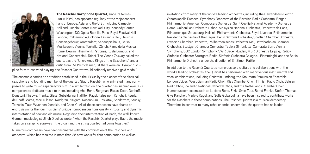

The Raschèr Saxophone Quartet, since its formation in 1969, has appeared regularly at the major concert halls of Europe, Asia, and the U.S., including Carnegie Hall and Lincoln Center, New York City; Kennedy Center, Washington, DC; Opera Bastille, Paris; Royal Festival Hall, London; Philharmonie, Cologne; Finlandia Hall, Helsinki; Concertgebouw, Amsterdam; Schauspielhaus, Berlin; Musikverein, Vienna; Tonhalle, Zürich; Parco della Musica, Rome; Dewan Filharmonik Petronas, Kuala Lumpur; and National Concert Hall, Taipei. The Vienna *Zeitung* hailed the quartet as the "Uncrowned Kings of the Saxophone" and a critic from *Die Welt* claimed, "if there were an Olympic disci-

Felix Broede

pline for virtuoso wind playing, the Raschèr Quartet would definitely receive a gold medal."

The ensemble carries on a tradition established in the 1930s by the pioneer of the classical saxophone and founding member of the quartet, Sigurd Raschèr, who animated many composers to write music especially for him. In a similar fashion, the quartet has inspired over 350 composers to dedicate music to them, including Aho, Berio, Bergman, Bialas, Dean, Denhoff, Donatoni, Firsowa, Franke, Glass, Gubaidulina, Halffter, Kagel, Kaipainen, Kancheli, Keuris, de Raaff, Maros, Moe, Nilsson, Nordgren, Nørgard, Rosenblum, Raskatov, Sandström, Stucky, Terzakis, Tüür, Wuorinen, Xenakis, and Chen Yi. All of these composers have shared an enthusiasm for the four musicians' unique homogeneous tone quality, virtuosity and dynamic interpretation of new and old music. Regarding their interpretation of Bach, the well-known German musicologist Ulrich Dibelius wrote, "when the Raschèr Quartet plays Bach, the music takes on a seraphic aura—as if the organ and the string quartet had come together."

Numerous composers have been fascinated with the combination of the Raschèrs and orchestra, which has resulted in more than 25 new works for that combination as well as invitations from many of the world's leading orchestras, including the Gewandhaus Leipzig, Staatskapelle Dresden, Symphony Orchestra of the Bavarian Radio Orchestra, Bergen Philharmonic, American Composers Orchestra, Saint Cecilia National Academy Orchestra Rome, Gulbenkian Orchestra Lisbon, Malaysian National Orchestra, Orchestre de Paris, Pilharmonique Strasbourg, Helsinki Philharmonic Orchestra, Royal Liverpool Philharmonic, Residentie Orchestra of the Hague, Berlin Sinfonie Orchestra, Scottish Chamber Orchestra, Swedish Chamber Orchestra, Philharmonisches Orchester Kiel, Ostrobothnian Chamber Orchestra, Stuttgart Chamber Orchestra, Tapiola Sinfonietta, Camerata Bern, Vienna Symphony, BBC London Symphony, SWR Baden-Baden, MDR Orchestra Leipzig, Radio-Sinfonie-Orchester Stuttgart, Radio-Sinfonie Orchestra Cologne, I Fiamminghi, and the Berlin Philharmonic Orchestra under the direction of Sir Simon Rattle.

In addition to the Raschèr Quartet's numerous solo recitals and collaborations with the world's leading orchestras, the Quartet has performed with many various instrumental and vocal combinations, including Christain Lindberg, the Kroumata Percussion Ensemble, London Voices, West German Radio Choir, Rias Chamber Choir, Finnish Radio Choir, Belgian Radio Choir, Icelandic National Cathedral Choir, and the Netherlands Chamber Choir. Numerous composers such as Luciano Berio, Erkki-Sven Tüür, Bernd Franke, Stefan Thomas, Giya Kancheli, Maricio Kagel, and Sofia Gubaibulina have been inspired to contribute works for the Raschèrs in these combinations. The Raschèr Quartet is a musical democracy. Therefore, in contrast to many other chamber ensembles, the quartet has no leader.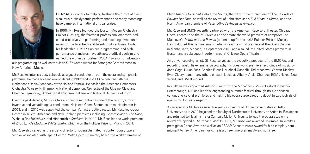

Gil Rose is a conductor helping to shape the future of classical music. His dynamic performances and many recordings have garnered international critical praise.

In 1996, Mr. Rose founded the Boston Modern Orchestra Project (BMOP), the foremost professional orchestra dedicated exclusively to performing and recording symphonic music of the twentieth and twenty-first centuries. Under his leadership, BMOP's unique programming and high performance standards have attracted critical acclaim and earned the orchestra fourteen ASCAP awards for adventur-

ous programming as well as the John S. Edwards Award for Strongest Commitment to New American Music.

Mr. Rose maintains a busy schedule as a guest conductor on both the opera and symphonic platforms. He made his Tanglewood debut in 2002 and in 2003 he debuted with the Netherlands Radio Symphony at the Holland Festival. He has led the American Composers Orchestra, Warsaw Philharmonic, National Symphony Orchestra of the Ukraine, Cleveland Chamber Symphony, Orchestra della Svizzera Italiana, and National Orchestra of Porto.

Over the past decade, Mr. Rose has also built a reputation as one of the country's most inventive and versatile opera conductors. He joined Opera Boston as its music director in 2003, and in 2010 was appointed the company's first artistic director. Mr. Rose led Opera Boston in several American and New England premieres including: Shostakovich's *The Nose*, Weber's *Der Freischütz*, and Hindemith's *Cardillac*. In 2009, Mr. Rose led the world premiere of Zhou Long's *Madame White Snake,* which won the Pulitzer Prize for Music in 2011.

Mr. Rose also served as the artistic director of Opera Unlimited, a contemporary opera festival associated with Opera Boston. With Opera Unlimited, he led the world premiere of Elena Ruehr's *Toussaint Before the Spirits*, the New England premiere of Thomas Ades's *Powder Her Face*, as well as the revival of John Harbison's *Full Moon in March*, and the North American premiere of Peter Eötvös's *Angels in America*.

Mr. Rose and BMOP recently partnered with the American Repertory Theater, Chicago Opera Theater, and the MIT Media Lab to create the world premiere of composer Tod Machover's *Death and the Powers* (a runner-up for the 2012 Pulitzer Prize in Music). He conducted this seminal multimedia work at its world premiere at the Opera Garnier in Monte Carlo, Monaco, in September 2010, and also led its United States premiere in Boston and a subsequent performance at Chicago Opera Theater.

An active recording artist, Gil Rose serves as the executive producer of the BMOP/sound recording label. His extensive discography includes world premiere recordings of music by John Cage, Lukas Foss, Charles Fussell, Michael Gandolfi, Tod Machover, Steven Mackey, Evan Ziporyn, and many others on such labels as Albany, Arsis, Chandos, ECM , Naxos, New World, and BMOP/sound.

In 2012 he was appointed Artistic Director of the Monadnock Music Festival in historic Peterborough, NH, and led this longstanding summer festival through its 47th season conducting several premieres and making his opera stage directing debut in two revivals of operas by Dominick Argento.

As an educator Mr. Rose served five years as director of Orchestral Activities at Tufts University and in 2012 he joined the faculty of Northeastern University as Artist-in-Residence and returned to his alma mater Carnegie Mellon University to lead the Opera Studio in a revival of Copland's *The Tender Land*. In 2007, Mr. Rose was awarded Columbia University's prestigious Ditson Award as well as an ASCAP Concert Music Award for his exemplary commitment to new American music. He is a three-time Grammy Award nominee.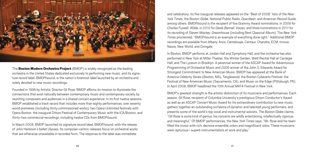

The **Boston Modern Orchestra Project** (BMOP) is widely recognized as the leading orchestra in the United States dedicated exclusively to performing new music, and its signature record label, BMOP/sound, is the nation's foremost label launched by an orchestra and solely devoted to new music recordings.

Founded in 1996 by Artistic Director Gil Rose, BMOP affirms its mission to illuminate the connections that exist naturally between contemporary music and contemporary society by reuniting composers and audiences in a shared concert experience. In its first twelve seasons, BMOP established a track record that includes more than eighty performances, over seventy world premieres (including thirty commissioned works), two Opera Unlimited festivals with Opera Boston, the inaugural Ditson Festival of Contemporary Music with the ICA/Boston, and thirty-two commercial recordings, including twelve CDs from BMOP/sound.

In March 2008, BMOP launched its signature record label, BMOP/sound, with the release of John Harbison's ballet *Ulysses*. Its composer-centric releases focus on orchestral works that are otherwise unavailable in recorded form. The response to the label was immediate

and celebratory; its five inaugural releases appeared on the "Best of 2008" lists of the *New York Times*, the *Boston Globe*, National Public Radio, *Downbeat*, and *American Record Guide*, among others. BMOP/sound is the recipient of five Grammy Award nominations: in 2009 for *Charles Fussell: Wilde*; in 2010 for *Derek Bermel: Voices*; and three nominations in 2011 for its recording of *Steven Mackey: Dreamhouse* (including Best Classical Album). The *New York Times* proclaimed, "BMOP/sound is an example of everything done right." Additional BMOP recordings are available from Albany, Arsis, Cantaloupe, Centaur, Chandos, ECM, Innova, Naxos, New World, and Oxingale.

In Boston, BMOP performs at Jordan Hall and Symphony Hall, and the orchestra has also performed in New York at Miller Theater, the Winter Garden, Weill Recital Hall at Carnegie Hall, and The Lyceum in Brooklyn. A perennial winner of the ASCAP Award for Adventurous Programming of Orchestral Music and 2006 winner of the John S. Edwards Award for Strongest Commitment to New American Music, BMOP has appeared at the Bank of America Celebrity Series (Boston, MA), Tanglewood, the Boston Cyberarts Festival, the Festival of New American Music (Sacramento, CA), and Music on the Edge (Pittsburgh, PA). In April 2008, BMOP headlined the 10th Annual MATA Festival in New York.

BMOP's greatest strength is the artistic distinction of its musicians and performances. Each season, Gil Rose, recipient of Columbia University's prestigious Ditson Conductor's Award as well as an ASCAP Concert Music Award for his extraordinary contribution to new music, gathers together an outstanding orchestra of dynamic and talented young performers, and presents some of the world's top vocal and instrumental soloists. The *Boston Globe* claims, "Gil Rose is some kind of genius; his concerts are wildly entertaining, intellectually rigorous, and meaningful." Of BMOP performances, the *New York Times* says: "Mr. Rose and his team filled the music with rich, decisive ensemble colors and magnificent solos. These musicians were rapturous—superb instrumentalists at work and play."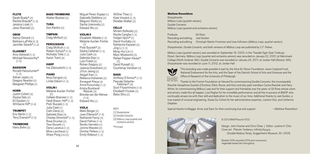#### **FLUTE**

Sarah Brady\* [2] Rachel Braude<sup>\*</sup> [1, 3] Jessica Lizak [1] Jessi Rosinski [2]

#### OBOE

Nancy Dimock [1] Barbara LaFitte [2, 3] Jennifer Slowik\* [1, 2]

#### **CLARINET**

Amy Advocat [1, 2] Michael Norsworthy\* [1-3]

#### **BASSOON**

Ronald Haroutunian\*  $[1, 2]$ Adrian Jojatu [3] Gregory Newton [2] Margaret Phillips [1]

#### **HORN**

Justin Cohen [3] Alyssa Daly [2] Eli Epstein [1] Whitacre Hill\* [1-3]

#### **TRUMPET**

Eric Berlin [1, 2] Terry Everson\* [1-3]

#### **TROMBONE**

Hans Bohn [2]

### **BASS TROMBONE**

**TUBA** 

Timpani Craig McNutt [2]

Walter Bostian [2] Don Rankin [2] Megumi Stohs [3] Sarita Uranovsky [2] Edward Wu [2]

#### Violin II

Elizabeth Abbate [1, 2] Melanie Auclair-Fortier [1]

> Abigail Karr [1] Rebecca Katsenes [2] Annegret Klaua [3] Anna Korsunsky [1, 2] Krista Buckland Reisner [3] Brenda van der Merwe [1-3] Edward Wu [1] **VIOLA** Mark Berger [2] Joan Ellersick\* [1-3] Nathaniel Farny [3] David Feltner [1-3] Noriko Herndon [1] Jonina Mazzeo [2] Dimitar Petkov [1, 2] Emily Rideout [1, 2]

## **PERCUSSION**

Craig McNutt [1, 3] Robert Schulz\* [1-3] Nicholas Tolle [1, 2] Aaron Trant [3] Ina Zdorovetchi [1, 3] Piotr Buczek\* [2] Sasha Callahan [1, 2] Julia Cash [3] Gabriela Diaz [1] Lois Finkel [2] Rohan Gregory [2] Joanna Grosshans [2] JiYun Jeong [2]

## Piano

**HARP** 

Nina Ferrigno [3] Linda Osborn [1, 2]

#### Violin I Melanie Auclair-Fortier

[2] Colleen Brannen [1, 2] Heidi Braun-Hill\* [1, 2] Piotr Buczek [1, 3] Julia Cash [1] Colin Davis [2]

Tera Gorsett [1] Oana Lacatus [1, 2] Mina Lavcheva [1] Shaw Pong Liu [2]

Gabriela Diaz [3] Charles Dimmick\* [1, 3] Rose Drucker [2]

Miguel Perez-Espejo [1] Gabrielle Stebbins [3] Willine Thoe [1] Kate Vincent [2, 3] Noralee Walker [2]

### Cello

Miriam Bolkosky [2] Nicole Cariglia (1, 21) Holgen Gioni\* [1] David Huckaby [3] Katherine Kayaian [2] Jing Li (1, 21) Ming-Hui Lin [1] Marc Moskovitz [3] Rafael Popper-Keizer\* [2] David Russell [2] Courtenay Vandiver [3]

#### **RASS**

Anthony D'Amico\* [1, 2] Pascale Delache-Feldman\* [3] Scot Fitzsimmons [1-3] Elizabeth Foulser [2] Bebo Shiu [2]

Key

[1] Sharpshooter [2] Double Concerto [3] Möbius Loop (quartet and orchestra version)

\*Principal

#### Mathew Rosenblum

Sharpshooter Möbius Loop (quartet version) Double Concerto Möbius Loop (quartet and orchestra version)

Producer Gil Rose Recording and editing Joel Gordon Recording and editing Christoph Martin Frommen and Uwe Hofmann (*Möbius Loop*, quartet version)

*Sharpshooter*, *Double Concerto*, and both versions of *Möbius Loop* are published by C.F. Peters.

*Möbius Loop* (quartet version) was recorded on September 16, 2005, in the Theoder Egel-Saal, Freiburg-Ebnet, Germany. *Möbius Loop* (quartet and orchestra version) was recorded on January 22, 2007, at Merrimack College (North Andover, MA). *Double Concerto* was recorded on January 24, 2011, at Jordan Hall (Boston, MA). *Sharpshooter* was recorded on June 11, 2012, at Jordan Hall.



This recording was made possible in part by the Alice M. Ditson Foundation, Aaron Copland Fund, National Endowment for the Arts, and the Dean of the Dietrich School of Arts and Sciences and the Office of Research of the University of Pittsburgh.

FOR THE ARTS Thanks to the Fromm Foundation at Harvard for commissioning Double Concerto; the incomparable Raschèr Saxophone Quartet (Christine, Elliot, Bruce, and Ken) and also past members Carina Raschèr and Harry White, for commissioning *Möbius Loop* and for their support and friendship over the years; to Gil Rose whose vision and artistry made this all happen; Lisa Pegher for her incredible performance; and all the musicians of BMOP who continually amaze me with their skill and dedication to the music of our time. Additional thanks to Joel Gordon, a true master of musical engineering, Sissie Siu Cohen for her administrative expertise, Justine Choi, and Catherine Stephan.

Special thanks to Maggie, Anna, and Sara, for their continuing love and support. — Mathew Rosenblum



#### © 2013 BMOP/sound 1032

Design: John Kramer and Chris Chew | Editor: Justine H. Choi Cover art: Plamen Yordanov, *Infinity/ Infinity* (Double Mobius Strip), Guggenheim Museum, NY, 2009

Booklet 50% recycled (25% post consumer). Vegetable based inks throughout.